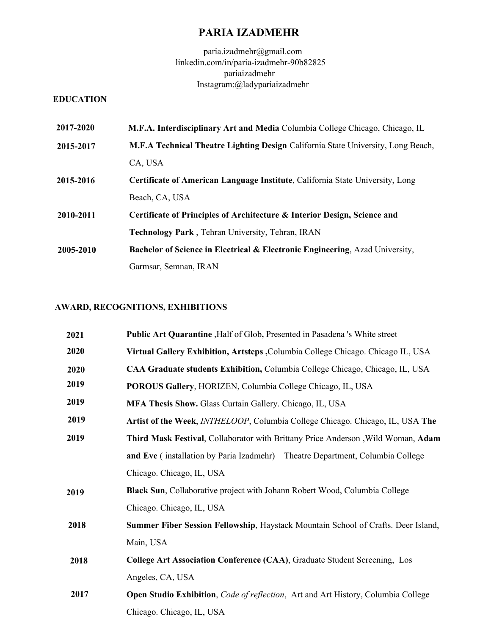# **PARIA IZADMEHR**

paria.izadmehr@gmail.com linkedin.com/in/paria-izadmehr-90b82825 pariaizadmehr Instagram:@ladypariaizadmehr

## **EDUCATION**

| 2017-2020 | M.F.A. Interdisciplinary Art and Media Columbia College Chicago, Chicago, IL            |
|-----------|-----------------------------------------------------------------------------------------|
| 2015-2017 | M.F.A Technical Theatre Lighting Design California State University, Long Beach,        |
|           | CA, USA                                                                                 |
| 2015-2016 | <b>Certificate of American Language Institute, California State University, Long</b>    |
|           | Beach, CA, USA                                                                          |
| 2010-2011 | Certificate of Principles of Architecture & Interior Design, Science and                |
|           | Technology Park, Tehran University, Tehran, IRAN                                        |
| 2005-2010 | <b>Bachelor of Science in Electrical &amp; Electronic Engineering, Azad University,</b> |
|           | Garmsar, Semnan, IRAN                                                                   |

# **AWARD, RECOGNITIONS, EXHIBITIONS**

| <b>Public Art Quarantine</b> , Half of Glob, Presented in Pasadena 's White street    |
|---------------------------------------------------------------------------------------|
| Virtual Gallery Exhibition, Artsteps, Columbia College Chicago. Chicago IL, USA       |
| CAA Graduate students Exhibition, Columbia College Chicago, Chicago, IL, USA          |
| POROUS Gallery, HORIZEN, Columbia College Chicago, IL, USA                            |
| <b>MFA Thesis Show.</b> Glass Curtain Gallery. Chicago, IL, USA                       |
| Artist of the Week, <i>INTHELOOP</i> , Columbia College Chicago. Chicago, IL, USA The |
| Third Mask Festival, Collaborator with Brittany Price Anderson, Wild Woman, Adam      |
| and Eve (installation by Paria Izadmehr) Theatre Department, Columbia College         |
| Chicago. Chicago, IL, USA                                                             |
| Black Sun, Collaborative project with Johann Robert Wood, Columbia College            |
| Chicago. Chicago, IL, USA                                                             |
| Summer Fiber Session Fellowship, Haystack Mountain School of Crafts. Deer Island,     |
| Main, USA                                                                             |
| College Art Association Conference (CAA), Graduate Student Screening, Los             |
| Angeles, CA, USA                                                                      |
| Open Studio Exhibition, Code of reflection, Art and Art History, Columbia College     |
| Chicago. Chicago, IL, USA                                                             |
|                                                                                       |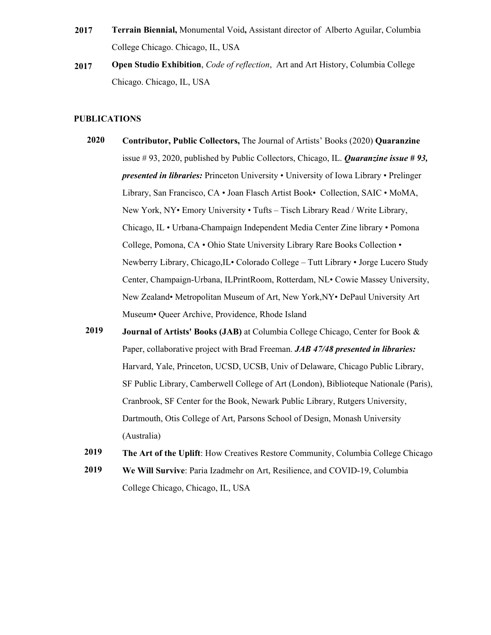- **Terrain Biennial,** Monumental Void**,** Assistant director of Alberto Aguilar, Columbia College Chicago. Chicago, IL, USA **2017**
- **Open Studio Exhibition**, *Code of reflection*, Art and Art History, Columbia College Chicago. Chicago, IL, USA **2017**

#### **PUBLICATIONS**

- **[Contributor, Public Collectors,](https://publiccollectors.tumblr.com/tagged/QUARANZINE)** The Journal of Artists' Books (2020) **Quaranzine** issue # 93, 2020, published by Public Collectors, Chicago, IL. *Quaranzine issue # 93, presented in libraries:* Princeton University • University of Iowa Library • Prelinger Library, San Francisco, CA • Joan Flasch Artist Book• Collection, SAIC • MoMA, New York, NY• Emory University • Tufts – Tisch Library Read / Write Library, Chicago, IL • Urbana-Champaign Independent Media Center Zine library • Pomona College, Pomona, CA • Ohio State University Library Rare Books Collection • Newberry Library, Chicago,IL• Colorado College – Tutt Library • Jorge Lucero Study Center, Champaign-Urbana, ILPrintRoom, Rotterdam, NL• Cowie Massey University, New Zealand• Metropolitan Museum of Art, New York,NY• DePaul University Art Museum• Queer Archive, Providence, Rhode Island **2020**
- **Journal of Artists' Books (JAB)** at Columbia College Chicago, Center for Book & Paper, collaborative project with Brad Freeman. *JAB 47/48 presented in libraries:*  Harvard, Yale, Princeton, UCSD, UCSB, Univ of Delaware, Chicago Public Library, SF Public Library, Camberwell College of Art (London), Biblioteque Nationale (Paris), Cranbrook, SF Center for the Book, Newark Public Library, Rutgers University, Dartmouth, Otis College of Art, Parsons School of Design, Monash University (Australia) **2019**
- **[The Art of the Uplift](https://www.colum.edu/news-and-events/articles/2020/the-art-of-the-uplift-how-creatives-restore-community#.YmIccC-B3T-)**: How Creatives Restore Community, Columbia College Chicago **2019**
- **[We Will Survive](https://www.colum.edu/news-and-events/articles/2020/we-will-survive-paria-izadmehr-on-art,-resilience,-and-covid-19#.YmIciy-B3T-)**: Paria Izadmehr on Art, Resilience, and COVID-19, Columbia College Chicago, Chicago, IL, USA **2019**